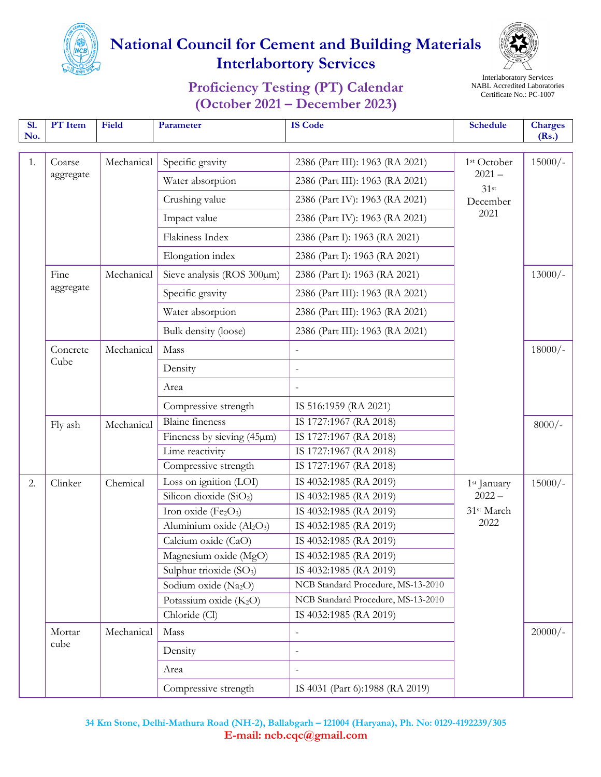



### **Proficiency Testing (PT) Calendar (October 2021 – December 2023)**

Interlaboratory Services NABL Accredited Laboratories Certificate No.: PC-1007

| <b>S1.</b><br>No. | PT Item             | <b>Field</b> | Parameter                                         | <b>IS Code</b>                     | <b>Schedule</b>                                                    | <b>Charges</b><br>(Rs.)         |  |  |
|-------------------|---------------------|--------------|---------------------------------------------------|------------------------------------|--------------------------------------------------------------------|---------------------------------|--|--|
|                   |                     | Mechanical   |                                                   |                                    |                                                                    |                                 |  |  |
| 1.                | Coarse<br>aggregate |              | Specific gravity                                  | 2386 (Part III): 1963 (RA 2021)    | 1 <sup>st</sup> October<br>$2021 -$<br>$31$ st<br>December<br>2021 | $15000/-$                       |  |  |
|                   |                     |              | Water absorption                                  | 2386 (Part III): 1963 (RA 2021)    |                                                                    |                                 |  |  |
|                   |                     |              | Crushing value                                    | 2386 (Part IV): 1963 (RA 2021)     |                                                                    |                                 |  |  |
|                   |                     |              | Impact value                                      | 2386 (Part IV): 1963 (RA 2021)     |                                                                    |                                 |  |  |
|                   |                     |              | Flakiness Index                                   | 2386 (Part I): 1963 (RA 2021)      |                                                                    |                                 |  |  |
|                   |                     |              | Elongation index                                  | 2386 (Part I): 1963 (RA 2021)      |                                                                    |                                 |  |  |
|                   | Fine                | Mechanical   | Sieve analysis (ROS $300 \mu m$ )                 | 2386 (Part I): 1963 (RA 2021)      |                                                                    | $13000/-$                       |  |  |
|                   | aggregate           |              | Specific gravity                                  | 2386 (Part III): 1963 (RA 2021)    |                                                                    |                                 |  |  |
|                   |                     |              | Water absorption                                  | 2386 (Part III): 1963 (RA 2021)    |                                                                    |                                 |  |  |
|                   |                     |              | Bulk density (loose)                              | 2386 (Part III): 1963 (RA 2021)    |                                                                    |                                 |  |  |
|                   | Concrete<br>Cube    | Mechanical   | Mass                                              |                                    |                                                                    | $18000/-$                       |  |  |
|                   |                     |              | Density                                           |                                    |                                                                    |                                 |  |  |
|                   |                     |              | Area                                              |                                    |                                                                    |                                 |  |  |
|                   |                     |              | Compressive strength                              | IS 516:1959 (RA 2021)              |                                                                    |                                 |  |  |
|                   | Fly ash             | Mechanical   | <b>Blaine</b> fineness                            | IS 1727:1967 (RA 2018)             |                                                                    | $8000/-$                        |  |  |
|                   |                     |              | Fineness by sieving (45µm)                        | IS 1727:1967 (RA 2018)             |                                                                    |                                 |  |  |
|                   |                     |              | Lime reactivity                                   | IS 1727:1967 (RA 2018)             |                                                                    |                                 |  |  |
|                   |                     |              | Compressive strength                              | IS 1727:1967 (RA 2018)             |                                                                    |                                 |  |  |
| 2.                | Clinker             | Chemical     | Loss on ignition (LOI)                            | IS 4032:1985 (RA 2019)             | 1 <sup>st</sup> January                                            | $15000/-$                       |  |  |
|                   |                     |              | Silicon dioxide (SiO <sub>2</sub> )               | IS 4032:1985 (RA 2019)             | $2022 -$                                                           |                                 |  |  |
|                   |                     |              | Iron oxide (Fe <sub>2</sub> O <sub>3</sub> )      | IS 4032:1985 (RA 2019)             | 31st March                                                         |                                 |  |  |
|                   |                     |              | Aluminium oxide (Al <sub>2</sub> O <sub>3</sub> ) | IS 4032:1985 (RA 2019)             | 2022                                                               |                                 |  |  |
|                   |                     |              | Calcium oxide (CaO)                               | IS 4032:1985 (RA 2019)             |                                                                    |                                 |  |  |
|                   |                     |              | Magnesium oxide (MgO)                             | IS 4032:1985 (RA 2019)             |                                                                    |                                 |  |  |
|                   |                     |              | Sulphur trioxide (SO <sub>3</sub> )               | IS 4032:1985 (RA 2019)             |                                                                    |                                 |  |  |
|                   |                     |              | Sodium oxide (Na2O)                               | NCB Standard Procedure, MS-13-2010 |                                                                    |                                 |  |  |
|                   |                     |              | Potassium oxide (K <sub>2</sub> O)                | NCB Standard Procedure, MS-13-2010 |                                                                    |                                 |  |  |
|                   |                     |              | Chloride (Cl)                                     | IS 4032:1985 (RA 2019)             |                                                                    |                                 |  |  |
|                   | Mortar              | Mechanical   | Mass                                              |                                    |                                                                    | $20000/-$                       |  |  |
|                   | cube                |              | Density                                           |                                    |                                                                    |                                 |  |  |
|                   |                     |              | Area                                              |                                    |                                                                    |                                 |  |  |
|                   |                     |              |                                                   |                                    | Compressive strength                                               | IS 4031 (Part 6):1988 (RA 2019) |  |  |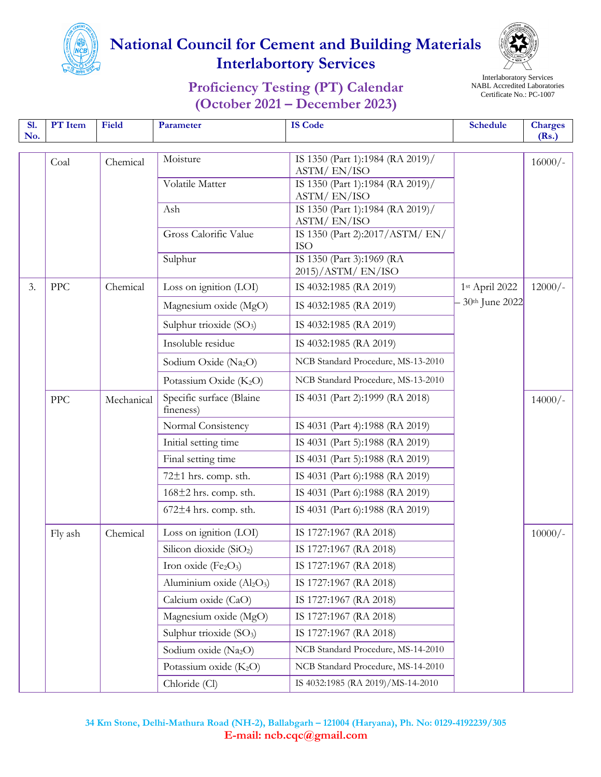



### **Proficiency Testing (PT) Calendar (October 2021 – December 2023)**

Interlaboratory Services NABL Accredited Laboratories Certificate No.: PC-1007

| SI.<br>No. | PT Item     | <b>Field</b> | Parameter                                    | <b>IS Code</b>                                  | <b>Schedule</b>              | <b>Charges</b><br>(Rs.) |
|------------|-------------|--------------|----------------------------------------------|-------------------------------------------------|------------------------------|-------------------------|
|            |             |              | Moisture                                     | IS 1350 (Part 1):1984 (RA 2019)/                |                              |                         |
|            | Coal        | Chemical     |                                              | ASTM/EN/ISO                                     |                              | $16000/-$               |
|            |             |              | Volatile Matter                              | IS 1350 (Part 1):1984 (RA 2019)/                |                              |                         |
|            |             |              | Ash                                          | ASTM/EN/ISO<br>IS 1350 (Part 1):1984 (RA 2019)/ |                              |                         |
|            |             |              |                                              | ASTM/EN/ISO                                     |                              |                         |
|            |             |              | Gross Calorific Value                        | IS 1350 (Part 2):2017/ASTM/EN/                  |                              |                         |
|            |             |              | Sulphur                                      | <b>ISO</b><br>IS 1350 (Part 3):1969 (RA         |                              |                         |
|            |             |              |                                              | $2015$ /ASTM/EN/ISO                             |                              |                         |
| 3.         | ${\rm PPC}$ | Chemical     | Loss on ignition (LOI)                       | IS 4032:1985 (RA 2019)                          | 1st April 2022               | $12000/-$               |
|            |             |              | Magnesium oxide (MgO)                        | IS 4032:1985 (RA 2019)                          | - 30 <sup>th</sup> June 2022 |                         |
|            |             |              | Sulphur trioxide (SO <sub>3</sub> )          | IS 4032:1985 (RA 2019)                          |                              |                         |
|            |             |              | Insoluble residue                            | IS 4032:1985 (RA 2019)                          |                              |                         |
|            |             |              | Sodium Oxide (Na <sub>2</sub> O)             | NCB Standard Procedure, MS-13-2010              |                              |                         |
|            |             |              | Potassium Oxide (K <sub>2</sub> O)           | NCB Standard Procedure, MS-13-2010              |                              |                         |
|            | ${\rm PPC}$ | Mechanical   | Specific surface (Blaine<br>fineness)        | IS 4031 (Part 2):1999 (RA 2018)                 |                              | $14000/-$               |
|            |             |              | Normal Consistency                           | IS 4031 (Part 4):1988 (RA 2019)                 |                              |                         |
|            |             |              | Initial setting time                         | IS 4031 (Part 5):1988 (RA 2019)                 |                              |                         |
|            |             |              | Final setting time                           | IS 4031 (Part 5):1988 (RA 2019)                 |                              |                         |
|            |             |              | 72±1 hrs. comp. sth.                         | IS 4031 (Part 6):1988 (RA 2019)                 |                              |                         |
|            |             |              | $168\pm2$ hrs. comp. sth.                    | IS 4031 (Part 6):1988 (RA 2019)                 |                              |                         |
|            |             |              | 672±4 hrs. comp. sth.                        | IS 4031 (Part 6):1988 (RA 2019)                 |                              |                         |
|            | Fly ash     | Chemical     | Loss on ignition (LOI)                       | IS 1727:1967 (RA 2018)                          |                              | $10000/-$               |
|            |             |              | Silicon dioxide (SiO <sub>2</sub> )          | IS 1727:1967 (RA 2018)                          |                              |                         |
|            |             |              | Iron oxide (Fe <sub>2</sub> O <sub>3</sub> ) | IS 1727:1967 (RA 2018)                          |                              |                         |
|            |             |              | Aluminium oxide $(Al2O3)$                    | IS 1727:1967 (RA 2018)                          |                              |                         |
|            |             |              | Calcium oxide (CaO)                          | IS 1727:1967 (RA 2018)                          |                              |                         |
|            |             |              | Magnesium oxide (MgO)                        | IS 1727:1967 (RA 2018)                          |                              |                         |
|            |             |              | Sulphur trioxide (SO <sub>3</sub> )          | IS 1727:1967 (RA 2018)                          |                              |                         |
|            |             |              | Sodium oxide (Na2O)                          | NCB Standard Procedure, MS-14-2010              |                              |                         |
|            |             |              | Potassium oxide $(K_2O)$                     | NCB Standard Procedure, MS-14-2010              |                              |                         |
|            |             |              | Chloride (Cl)                                | IS 4032:1985 (RA 2019)/MS-14-2010               |                              |                         |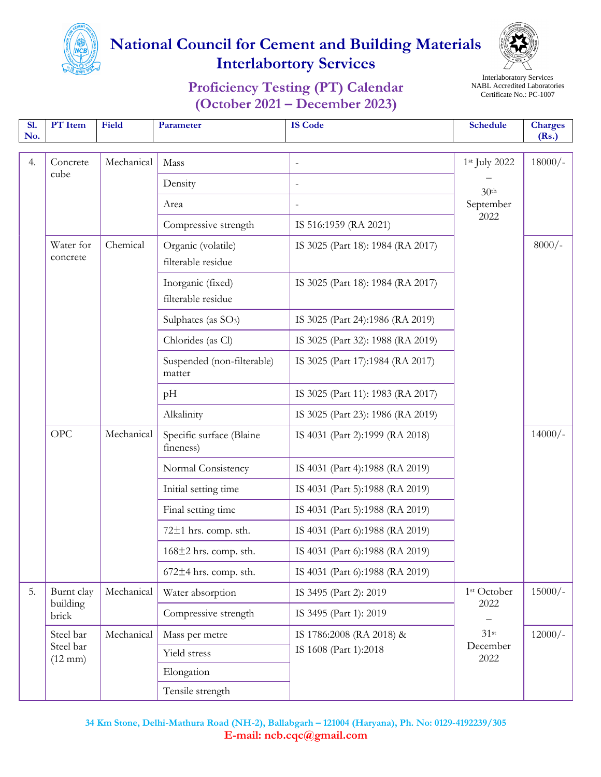



### **Proficiency Testing (PT) Calendar (October 2021 – December 2023)**

Interlaboratory Services NABL Accredited Laboratories Certificate No.: PC-1007

| <b>S1.</b><br>No. | PT Item                         | Field      | Parameter                                | <b>IS Code</b>                                    | <b>Schedule</b>                                        | <b>Charges</b><br>(Rs.) |  |
|-------------------|---------------------------------|------------|------------------------------------------|---------------------------------------------------|--------------------------------------------------------|-------------------------|--|
| 4.                | Concrete<br>cube                | Mechanical | Mass                                     |                                                   | 1st July 2022<br>30 <sup>th</sup><br>September<br>2022 | $18000/-$               |  |
|                   |                                 |            | Density                                  |                                                   |                                                        |                         |  |
|                   |                                 |            | Area                                     |                                                   |                                                        |                         |  |
|                   |                                 |            | Compressive strength                     | IS 516:1959 (RA 2021)                             |                                                        |                         |  |
|                   | Water for<br>concrete           | Chemical   | Organic (volatile)<br>filterable residue | IS 3025 (Part 18): 1984 (RA 2017)                 |                                                        | $8000/-$                |  |
|                   |                                 |            | Inorganic (fixed)<br>filterable residue  | IS 3025 (Part 18): 1984 (RA 2017)                 |                                                        |                         |  |
|                   |                                 |            | Sulphates (as $SO_3$ )                   | IS 3025 (Part 24):1986 (RA 2019)                  |                                                        |                         |  |
|                   |                                 |            | Chlorides (as Cl)                        | IS 3025 (Part 32): 1988 (RA 2019)                 |                                                        |                         |  |
|                   |                                 |            | Suspended (non-filterable)<br>matter     | IS 3025 (Part 17):1984 (RA 2017)                  |                                                        |                         |  |
|                   |                                 |            | pH                                       | IS 3025 (Part 11): 1983 (RA 2017)                 |                                                        |                         |  |
|                   |                                 |            | Alkalinity                               | IS 3025 (Part 23): 1986 (RA 2019)                 |                                                        |                         |  |
|                   | <b>OPC</b>                      | Mechanical | Specific surface (Blaine<br>fineness)    | IS 4031 (Part 2):1999 (RA 2018)                   |                                                        | $14000/-$               |  |
|                   |                                 |            | Normal Consistency                       | IS 4031 (Part 4):1988 (RA 2019)                   |                                                        |                         |  |
|                   |                                 |            | Initial setting time                     | IS 4031 (Part 5):1988 (RA 2019)                   |                                                        |                         |  |
|                   |                                 |            | Final setting time                       | IS 4031 (Part 5):1988 (RA 2019)                   |                                                        |                         |  |
|                   |                                 |            | $72±1$ hrs. comp. sth.                   | IS 4031 (Part 6):1988 (RA 2019)                   |                                                        |                         |  |
|                   |                                 |            | $168\pm2$ hrs. comp. sth.                | IS 4031 (Part 6):1988 (RA 2019)                   |                                                        |                         |  |
|                   |                                 |            | $672±4$ hrs. comp. sth.                  | IS 4031 (Part 6):1988 (RA 2019)                   |                                                        |                         |  |
| 5.                | Burnt clay<br>building<br>brick | Mechanical | Water absorption                         | IS 3495 (Part 2): 2019                            | 1 <sup>st</sup> October<br>2022<br>$31$ st             | $15000/-$               |  |
|                   |                                 |            | Compressive strength                     | IS 3495 (Part 1): 2019                            |                                                        |                         |  |
|                   | Steel bar                       | Mechanical | Mass per metre                           | IS 1786:2008 (RA 2018) &<br>IS 1608 (Part 1):2018 |                                                        | $12000/-$               |  |
|                   | Steel bar<br>$(12 \text{ mm})$  |            | Yield stress                             |                                                   | December<br>2022                                       |                         |  |
|                   |                                 |            | Elongation                               |                                                   |                                                        |                         |  |
|                   |                                 |            |                                          |                                                   | Tensile strength                                       |                         |  |

**34 Km Stone, Delhi-Mathura Road (NH-2), Ballabgarh – 121004 (Haryana), Ph. No: 0129-4192239/305 E-mail: ncb.cqc@gmail.com**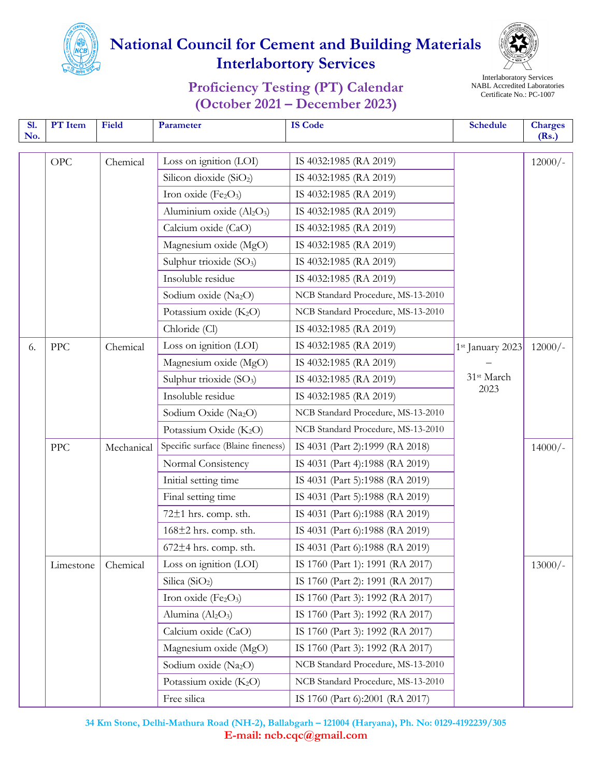



#### **Proficiency Testing (PT) Calendar (October 2021 – December 2023)**

Interlaboratory Services NABL Accredited Laboratories Certificate No.: PC-1007

| S1.<br>No. | PT Item    | Field      | Parameter                                         | <b>IS Code</b>                     | <b>Schedule</b>  | <b>Charges</b><br>(Rs.) |
|------------|------------|------------|---------------------------------------------------|------------------------------------|------------------|-------------------------|
|            | OPC        | Chemical   | Loss on ignition (LOI)                            | IS 4032:1985 (RA 2019)             |                  | $12000/-$               |
|            |            |            | Silicon dioxide $(SiO2)$                          | IS 4032:1985 (RA 2019)             |                  |                         |
|            |            |            | Iron oxide (Fe2O3)                                | IS 4032:1985 (RA 2019)             |                  |                         |
|            |            |            | Aluminium oxide (Al <sub>2</sub> O <sub>3</sub> ) | IS 4032:1985 (RA 2019)             |                  |                         |
|            |            |            | Calcium oxide (CaO)                               | IS 4032:1985 (RA 2019)             |                  |                         |
|            |            |            | Magnesium oxide (MgO)                             | IS 4032:1985 (RA 2019)             |                  |                         |
|            |            |            | Sulphur trioxide (SO <sub>3</sub> )               | IS 4032:1985 (RA 2019)             |                  |                         |
|            |            |            | Insoluble residue                                 | IS 4032:1985 (RA 2019)             |                  |                         |
|            |            |            | Sodium oxide (Na <sub>2</sub> O)                  | NCB Standard Procedure, MS-13-2010 |                  |                         |
|            |            |            | Potassium oxide (K <sub>2</sub> O)                | NCB Standard Procedure, MS-13-2010 |                  |                         |
|            |            |            | Chloride (Cl)                                     | IS 4032:1985 (RA 2019)             |                  |                         |
| 6.         | PPC        | Chemical   | Loss on ignition (LOI)                            | IS 4032:1985 (RA 2019)             | 1st January 2023 | $12000/-$               |
|            |            |            | Magnesium oxide (MgO)                             | IS 4032:1985 (RA 2019)             |                  |                         |
|            |            |            | Sulphur trioxide (SO <sub>3</sub> )               | IS 4032:1985 (RA 2019)             | 31st March       |                         |
|            |            |            | Insoluble residue                                 | IS 4032:1985 (RA 2019)             | 2023             |                         |
|            |            |            | Sodium Oxide (Na2O)                               | NCB Standard Procedure, MS-13-2010 |                  |                         |
|            |            |            | Potassium Oxide (K <sub>2</sub> O)                | NCB Standard Procedure, MS-13-2010 |                  |                         |
|            | <b>PPC</b> | Mechanical | Specific surface (Blaine fineness)                | IS 4031 (Part 2):1999 (RA 2018)    |                  | $14000/-$               |
|            |            |            | Normal Consistency                                | IS 4031 (Part 4):1988 (RA 2019)    |                  |                         |
|            |            |            | Initial setting time                              | IS 4031 (Part 5):1988 (RA 2019)    |                  |                         |
|            |            |            | Final setting time                                | IS 4031 (Part 5):1988 (RA 2019)    |                  |                         |
|            |            |            | 72±1 hrs. comp. sth.                              | IS 4031 (Part 6):1988 (RA 2019)    |                  |                         |
|            |            |            | $168\pm2$ hrs. comp. sth.                         | IS 4031 (Part 6):1988 (RA 2019)    |                  |                         |
|            |            |            | $672±4$ hrs. comp. sth.                           | IS 4031 (Part 6):1988 (RA 2019)    |                  |                         |
|            | Limestone  | Chemical   | Loss on ignition (LOI)                            | IS 1760 (Part 1): 1991 (RA 2017)   |                  | $13000/-$               |
|            |            |            | Silica ( $SiO2$ )                                 | IS 1760 (Part 2): 1991 (RA 2017)   |                  |                         |
|            |            |            | Iron oxide (Fe2O3)                                | IS 1760 (Part 3): 1992 (RA 2017)   |                  |                         |
|            |            |            | Alumina (Al <sub>2</sub> O <sub>3</sub> )         | IS 1760 (Part 3): 1992 (RA 2017)   |                  |                         |
|            |            |            | Calcium oxide (CaO)                               | IS 1760 (Part 3): 1992 (RA 2017)   |                  |                         |
|            |            |            | Magnesium oxide (MgO)                             | IS 1760 (Part 3): 1992 (RA 2017)   |                  |                         |
|            |            |            | Sodium oxide (Na2O)                               | NCB Standard Procedure, MS-13-2010 |                  |                         |
|            |            |            | Potassium oxide $(K_2O)$                          | NCB Standard Procedure, MS-13-2010 |                  |                         |
|            |            |            | Free silica                                       | IS 1760 (Part 6):2001 (RA 2017)    |                  |                         |

**34 Km Stone, Delhi-Mathura Road (NH-2), Ballabgarh – 121004 (Haryana), Ph. No: 0129-4192239/305 E-mail: ncb.cqc@gmail.com**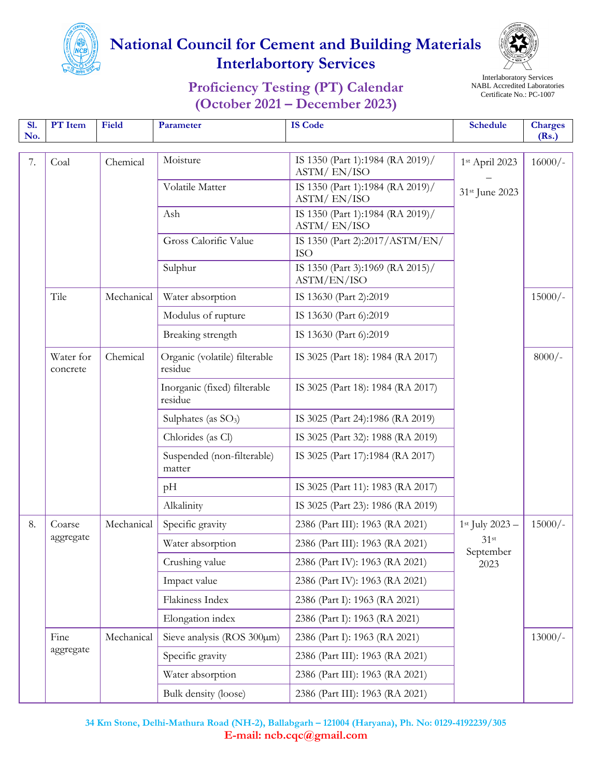



### **Proficiency Testing (PT) Calendar (October 2021 – December 2023)**

Interlaboratory Services NABL Accredited Laboratories Certificate No.: PC-1007

| <b>S1.</b><br>No. | PT Item               | Field      | Parameter                                | <b>IS Code</b>                                  | <b>Schedule</b>                 | <b>Charges</b><br>(Rs.) |  |
|-------------------|-----------------------|------------|------------------------------------------|-------------------------------------------------|---------------------------------|-------------------------|--|
| 7.                | Coal                  | Chemical   | Moisture                                 | IS 1350 (Part 1):1984 (RA 2019)/<br>ASTM/EN/ISO | 1st April 2023                  | $16000/-$               |  |
|                   |                       |            | Volatile Matter                          | IS 1350 (Part 1):1984 (RA 2019)/<br>ASTM/EN/ISO | 31st June 2023                  |                         |  |
|                   |                       |            | Ash                                      | IS 1350 (Part 1):1984 (RA 2019)/<br>ASTM/EN/ISO |                                 |                         |  |
|                   |                       |            | Gross Calorific Value                    | IS 1350 (Part 2):2017/ASTM/EN/<br><b>ISO</b>    |                                 |                         |  |
|                   |                       |            | Sulphur                                  | IS 1350 (Part 3):1969 (RA 2015)/<br>ASTM/EN/ISO |                                 |                         |  |
|                   | Tile                  | Mechanical | Water absorption                         | IS 13630 (Part 2):2019                          |                                 | $15000/-$               |  |
|                   |                       |            | Modulus of rupture                       | IS 13630 (Part 6):2019                          |                                 |                         |  |
|                   |                       |            | Breaking strength                        | IS 13630 (Part 6):2019                          |                                 |                         |  |
|                   | Water for<br>concrete | Chemical   | Organic (volatile) filterable<br>residue | IS 3025 (Part 18): 1984 (RA 2017)               |                                 | $8000/-$                |  |
|                   |                       |            | Inorganic (fixed) filterable<br>residue  | IS 3025 (Part 18): 1984 (RA 2017)               |                                 |                         |  |
|                   |                       |            | Sulphates (as SO <sub>3</sub> )          | IS 3025 (Part 24):1986 (RA 2019)                |                                 |                         |  |
|                   |                       |            | Chlorides (as Cl)                        | IS 3025 (Part 32): 1988 (RA 2019)               |                                 |                         |  |
|                   |                       |            | Suspended (non-filterable)<br>matter     | IS 3025 (Part 17):1984 (RA 2017)                |                                 |                         |  |
|                   |                       |            | pH                                       | IS 3025 (Part 11): 1983 (RA 2017)               |                                 |                         |  |
|                   |                       |            | Alkalinity                               | IS 3025 (Part 23): 1986 (RA 2019)               |                                 |                         |  |
| 8.                | Coarse<br>aggregate   | Mechanical | Specific gravity                         | 2386 (Part III): 1963 (RA 2021)                 | $1st$ July 2023 –               | $15000/-$               |  |
|                   |                       |            | Water absorption                         | 2386 (Part III): 1963 (RA 2021)                 | $31$ st<br>September<br>2023    |                         |  |
|                   |                       |            | Crushing value                           | 2386 (Part IV): 1963 (RA 2021)                  |                                 |                         |  |
|                   |                       |            | Impact value                             | 2386 (Part IV): 1963 (RA 2021)                  |                                 |                         |  |
|                   |                       |            | Flakiness Index                          | 2386 (Part I): 1963 (RA 2021)                   |                                 |                         |  |
|                   |                       |            | Elongation index                         | 2386 (Part I): 1963 (RA 2021)                   |                                 |                         |  |
|                   | Fine                  | Mechanical | Sieve analysis (ROS 300µm)               | 2386 (Part I): 1963 (RA 2021)                   |                                 | $13000/-$               |  |
|                   | aggregate             |            | Specific gravity                         | 2386 (Part III): 1963 (RA 2021)                 |                                 |                         |  |
|                   |                       |            | Water absorption                         | 2386 (Part III): 1963 (RA 2021)                 |                                 |                         |  |
|                   |                       |            |                                          | Bulk density (loose)                            | 2386 (Part III): 1963 (RA 2021) |                         |  |

**34 Km Stone, Delhi-Mathura Road (NH-2), Ballabgarh – 121004 (Haryana), Ph. No: 0129-4192239/305 E-mail: ncb.cqc@gmail.com**